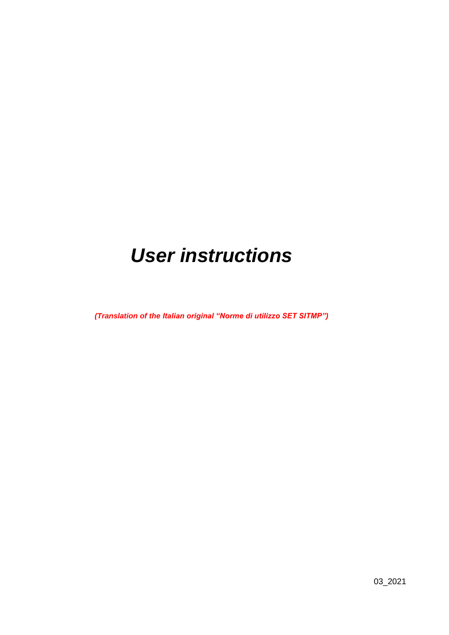# *User instructions*

*(Translation of the Italian original "Norme di utilizzo SET SITMP")*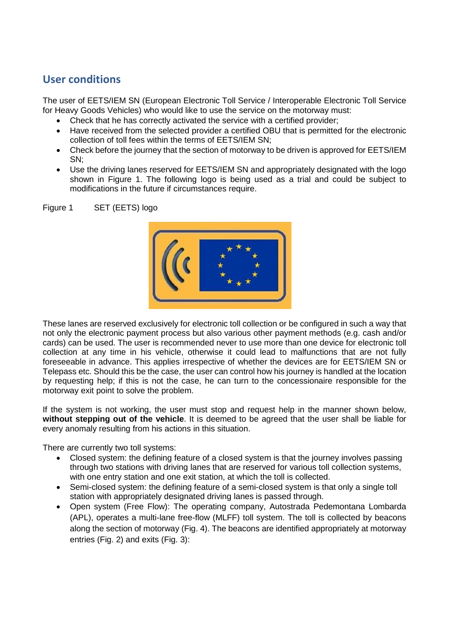## **User conditions**

The user of EETS/IEM SN (European Electronic Toll Service / Interoperable Electronic Toll Service for Heavy Goods Vehicles) who would like to use the service on the motorway must:

- Check that he has correctly activated the service with a certified provider;
- Have received from the selected provider a certified OBU that is permitted for the electronic collection of toll fees within the terms of EETS/IEM SN;
- Check before the journey that the section of motorway to be driven is approved for EETS/IEM SN;
- Use the driving lanes reserved for EETS/IEM SN and appropriately designated with the logo shown in Figure 1. The following logo is being used as a trial and could be subject to modifications in the future if circumstances require.

Figure 1 SET (EETS) logo



These lanes are reserved exclusively for electronic toll collection or be configured in such a way that not only the electronic payment process but also various other payment methods (e.g. cash and/or cards) can be used. The user is recommended never to use more than one device for electronic toll collection at any time in his vehicle, otherwise it could lead to malfunctions that are not fully foreseeable in advance. This applies irrespective of whether the devices are for EETS/IEM SN or Telepass etc. Should this be the case, the user can control how his journey is handled at the location by requesting help; if this is not the case, he can turn to the concessionaire responsible for the motorway exit point to solve the problem.

If the system is not working, the user must stop and request help in the manner shown below, **without stepping out of the vehicle**. It is deemed to be agreed that the user shall be liable for every anomaly resulting from his actions in this situation.

There are currently two toll systems:

- Closed system: the defining feature of a closed system is that the journey involves passing through two stations with driving lanes that are reserved for various toll collection systems, with one entry station and one exit station, at which the toll is collected.
- Semi-closed system: the defining feature of a semi-closed system is that only a single toll station with appropriately designated driving lanes is passed through.
- Open system (Free Flow): The operating company, Autostrada Pedemontana Lombarda (APL), operates a multi-lane free-flow (MLFF) toll system. The toll is collected by beacons along the section of motorway (Fig. 4). The beacons are identified appropriately at motorway entries (Fig. 2) and exits (Fig. 3):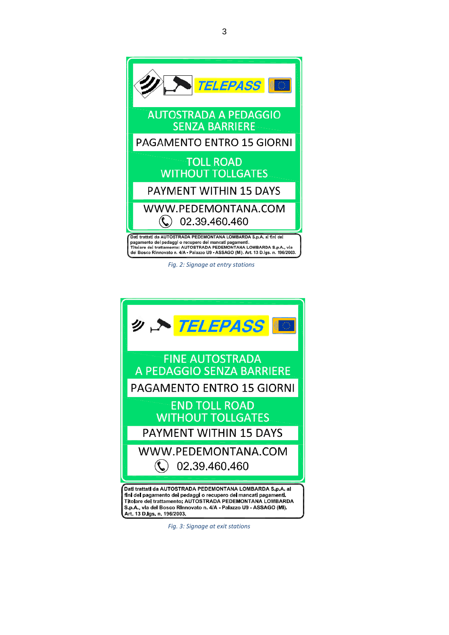

 *Fig. 2: Signage at entry stations*



S.p.A., vla del Bosco Rinnovato n. 4/A - Palazzo U9 - ASSAGO (MI). Art 13 D.Igs. n. 196/2003.

 *Fig. 3: Signage at exit stations*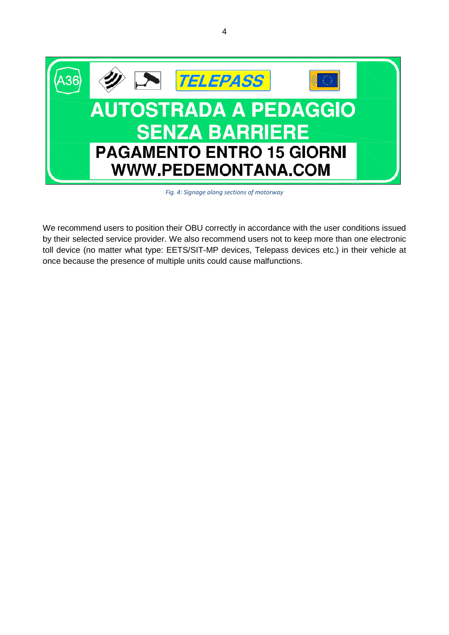

*Fig. 4: Signage along sections of motorway*

We recommend users to position their OBU correctly in accordance with the user conditions issued by their selected service provider. We also recommend users not to keep more than one electronic toll device (no matter what type: EETS/SIT-MP devices, Telepass devices etc.) in their vehicle at once because the presence of multiple units could cause malfunctions.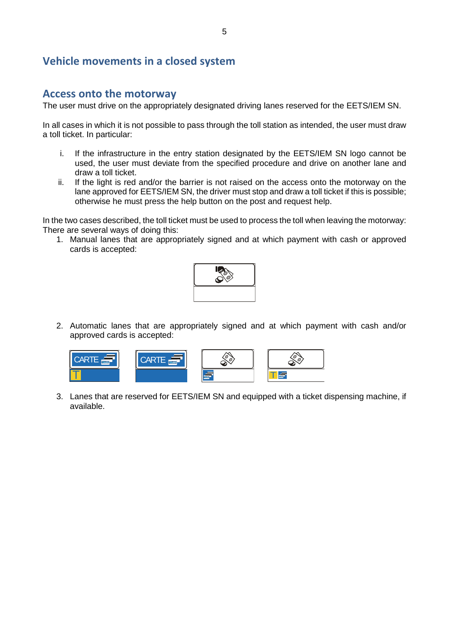## **Vehicle movements in a closed system**

### **Access onto the motorway**

The user must drive on the appropriately designated driving lanes reserved for the EETS/IEM SN.

In all cases in which it is not possible to pass through the toll station as intended, the user must draw a toll ticket. In particular:

- i. If the infrastructure in the entry station designated by the EETS/IEM SN logo cannot be used, the user must deviate from the specified procedure and drive on another lane and draw a toll ticket.
- ii. If the light is red and/or the barrier is not raised on the access onto the motorway on the lane approved for EETS/IEM SN, the driver must stop and draw a toll ticket if this is possible; otherwise he must press the help button on the post and request help.

In the two cases described, the toll ticket must be used to process the toll when leaving the motorway: There are several ways of doing this:

1. Manual lanes that are appropriately signed and at which payment with cash or approved cards is accepted:



2. Automatic lanes that are appropriately signed and at which payment with cash and/or approved cards is accepted:



3. Lanes that are reserved for EETS/IEM SN and equipped with a ticket dispensing machine, if available.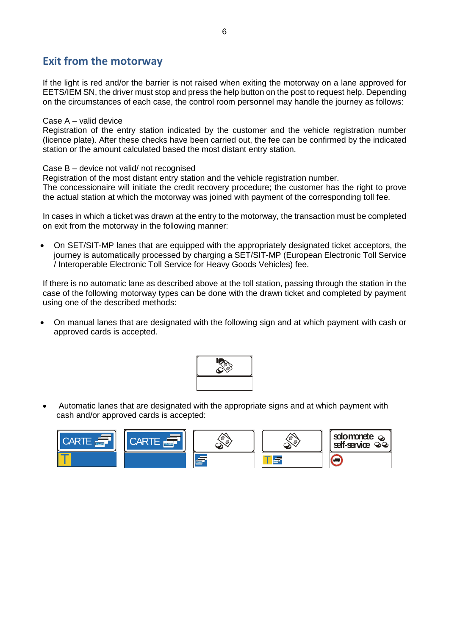## **Exit from the motorway**

If the light is red and/or the barrier is not raised when exiting the motorway on a lane approved for EETS/IEM SN, the driver must stop and press the help button on the post to request help. Depending on the circumstances of each case, the control room personnel may handle the journey as follows:

#### Case A – valid device

Registration of the entry station indicated by the customer and the vehicle registration number (licence plate). After these checks have been carried out, the fee can be confirmed by the indicated station or the amount calculated based the most distant entry station.

#### Case B – device not valid/ not recognised

Registration of the most distant entry station and the vehicle registration number.

The concessionaire will initiate the credit recovery procedure; the customer has the right to prove the actual station at which the motorway was joined with payment of the corresponding toll fee.

In cases in which a ticket was drawn at the entry to the motorway, the transaction must be completed on exit from the motorway in the following manner:

• On SET/SIT-MP lanes that are equipped with the appropriately designated ticket acceptors, the journey is automatically processed by charging a SET/SIT-MP (European Electronic Toll Service / Interoperable Electronic Toll Service for Heavy Goods Vehicles) fee.

If there is no automatic lane as described above at the toll station, passing through the station in the case of the following motorway types can be done with the drawn ticket and completed by payment using one of the described methods:

• On manual lanes that are designated with the following sign and at which payment with cash or approved cards is accepted.



• Automatic lanes that are designated with the appropriate signs and at which payment with cash and/or approved cards is accepted:

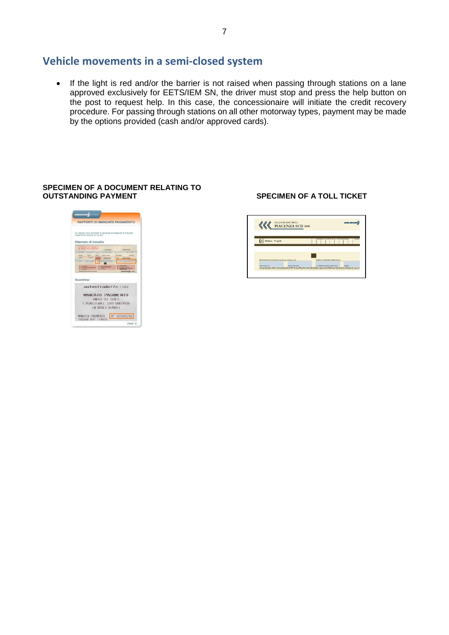## **Vehicle movements in a semi-closed system**

• If the light is red and/or the barrier is not raised when passing through stations on a lane approved exclusively for EETS/IEM SN, the driver must stop and press the help button on the post to request help. In this case, the concessionaire will initiate the credit recovery procedure. For passing through stations on all other motorway types, payment may be made by the options provided (cash and/or approved cards).

## **SPECIMEN OF A DOCUMENT RELATING TO**



#### **OUTSTANDING PAYMENT SPECIMEN OF A TOLL TICKET**

| PIACENZA SUD (005)                                       | autostrade                  |
|----------------------------------------------------------|-----------------------------|
| Milano - Napoli                                          | CIAO<br>A CONTRACT<br>35.0  |
|                                                          | NOME E COONDARE CONRACTATED |
| <b>ENTIL ESENTE A NORMA DI LEGGIE (pr. 25 Eq. (24.8)</b> |                             |